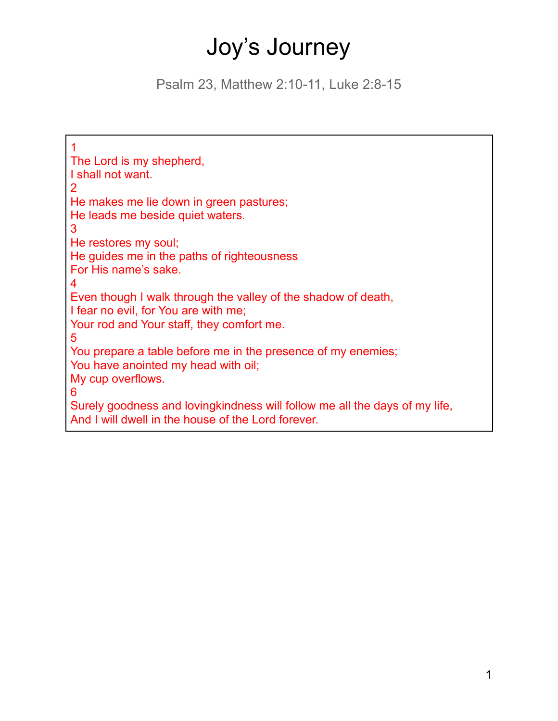# Joy's Journey

Psalm 23, Matthew 2:10-11, Luke 2:8-15

1 The Lord is my shepherd, I shall not want. 2 He makes me lie down in green pastures; He leads me beside quiet waters. 3 He restores my soul; He guides me in the paths of righteousness For His name's sake. 4 Even though I walk through the valley of the shadow of death, I fear no evil, for You are with me; Your rod and Your staff, they comfort me. 5 You prepare a table before me in the presence of my enemies; You have anointed my head with oil; My cup overflows. 6 Surely goodness and lovingkindness will follow me all the days of my life, And I will dwell in the house of the Lord forever.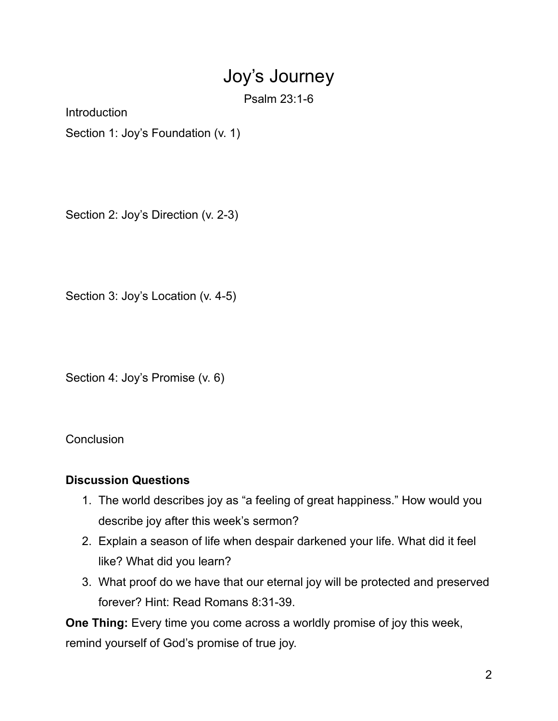## Joy's Journey

Psalm 23:1-6

**Introduction** 

Section 1: Joy's Foundation (v. 1)

Section 2: Joy's Direction (v. 2-3)

Section 3: Joy's Location (v. 4-5)

Section 4: Joy's Promise (v. 6)

**Conclusion** 

#### **Discussion Questions**

- 1. The world describes joy as "a feeling of great happiness." How would you describe joy after this week's sermon?
- 2. Explain a season of life when despair darkened your life. What did it feel like? What did you learn?
- 3. What proof do we have that our eternal joy will be protected and preserved forever? Hint: Read Romans 8:31-39.

**One Thing:** Every time you come across a worldly promise of joy this week, remind yourself of God's promise of true joy.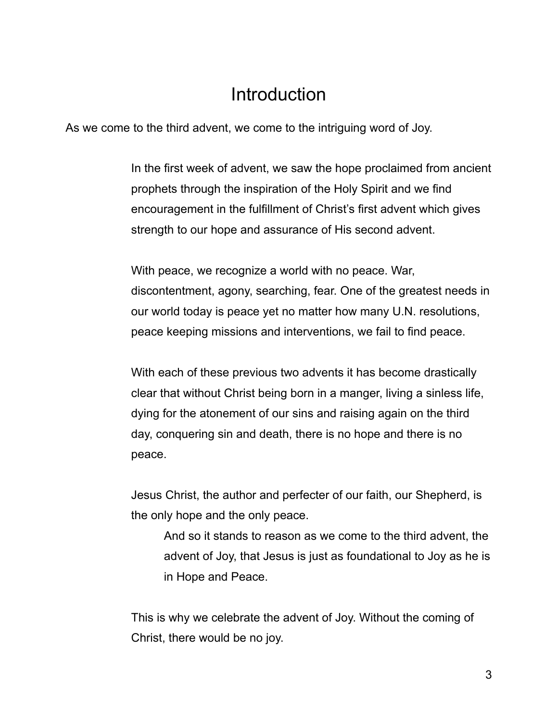## **Introduction**

As we come to the third advent, we come to the intriguing word of Joy.

In the first week of advent, we saw the hope proclaimed from ancient prophets through the inspiration of the Holy Spirit and we find encouragement in the fulfillment of Christ's first advent which gives strength to our hope and assurance of His second advent.

With peace, we recognize a world with no peace. War, discontentment, agony, searching, fear. One of the greatest needs in our world today is peace yet no matter how many U.N. resolutions, peace keeping missions and interventions, we fail to find peace.

With each of these previous two advents it has become drastically clear that without Christ being born in a manger, living a sinless life, dying for the atonement of our sins and raising again on the third day, conquering sin and death, there is no hope and there is no peace.

Jesus Christ, the author and perfecter of our faith, our Shepherd, is the only hope and the only peace.

And so it stands to reason as we come to the third advent, the advent of Joy, that Jesus is just as foundational to Joy as he is in Hope and Peace.

This is why we celebrate the advent of Joy. Without the coming of Christ, there would be no joy.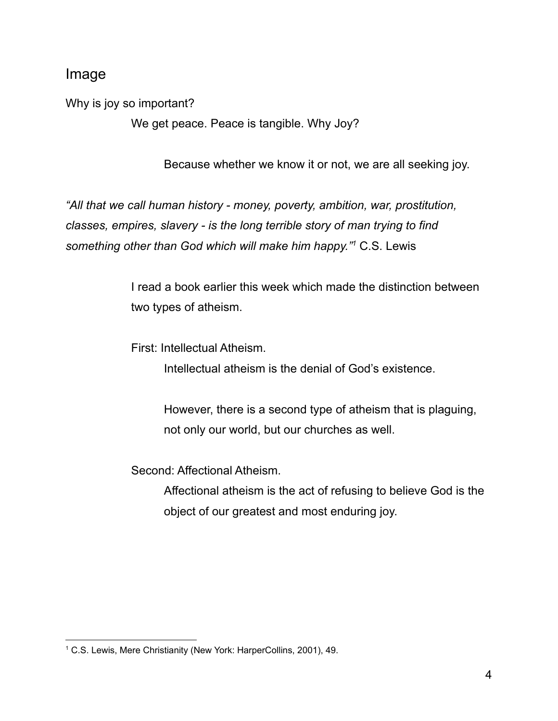#### Image

Why is joy so important?

We get peace. Peace is tangible. Why Joy?

Because whether we know it or not, we are all seeking joy.

*"All that we call human history - money, poverty, ambition, war, prostitution, classes, empires, slavery - is the long terrible story of man trying to find something other than God which will make him happy." <sup>1</sup>* C.S. Lewis

> I read a book earlier this week which made the distinction between two types of atheism.

First: Intellectual Atheism.

Intellectual atheism is the denial of God's existence.

However, there is a second type of atheism that is plaguing, not only our world, but our churches as well.

Second: Affectional Atheism.

Affectional atheism is the act of refusing to believe God is the object of our greatest and most enduring joy.

<sup>1</sup> C.S. Lewis, Mere Christianity (New York: HarperCollins, 2001), 49.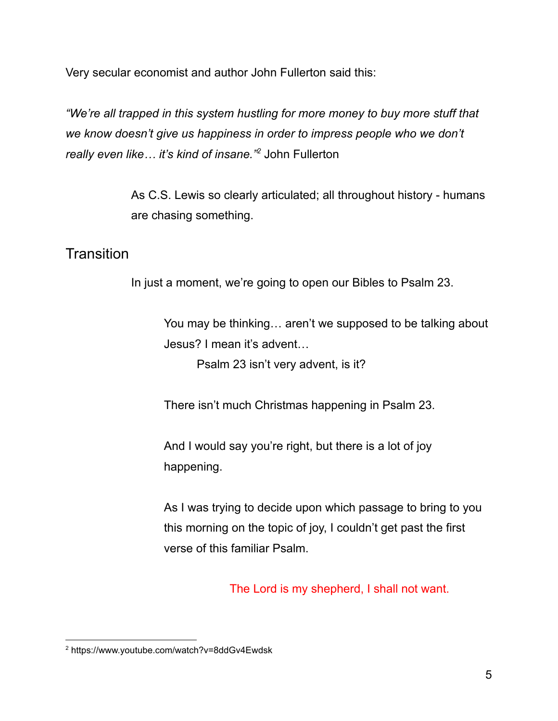Very secular economist and author John Fullerton said this:

*"We're all trapped in this system hustling for more money to buy more stuff that we know doesn't give us happiness in order to impress people who we don't really even like… it's kind of insane." <sup>2</sup>* John Fullerton

> As C.S. Lewis so clearly articulated; all throughout history - humans are chasing something.

## **Transition**

In just a moment, we're going to open our Bibles to Psalm 23.

You may be thinking… aren't we supposed to be talking about Jesus? I mean it's advent…

Psalm 23 isn't very advent, is it?

There isn't much Christmas happening in Psalm 23.

And I would say you're right, but there is a lot of joy happening.

As I was trying to decide upon which passage to bring to you this morning on the topic of joy, I couldn't get past the first verse of this familiar Psalm.

The Lord is my shepherd, I shall not want.

<sup>2</sup> https://www.youtube.com/watch?v=8ddGv4Ewdsk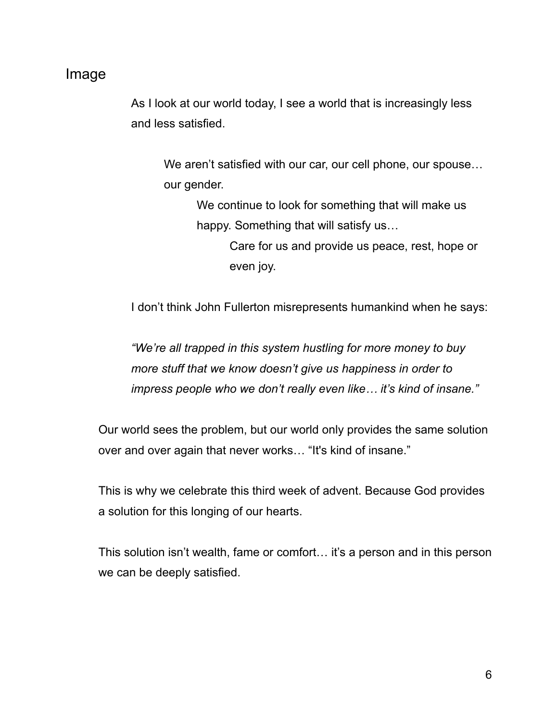#### Image

As I look at our world today, I see a world that is increasingly less and less satisfied.

We aren't satisfied with our car, our cell phone, our spouse... our gender.

We continue to look for something that will make us happy. Something that will satisfy us…

Care for us and provide us peace, rest, hope or even joy.

I don't think John Fullerton misrepresents humankind when he says:

*"We're all trapped in this system hustling for more money to buy more stuff that we know doesn't give us happiness in order to impress people who we don't really even like… it's kind of insane."*

Our world sees the problem, but our world only provides the same solution over and over again that never works… "It's kind of insane."

This is why we celebrate this third week of advent. Because God provides a solution for this longing of our hearts.

This solution isn't wealth, fame or comfort… it's a person and in this person we can be deeply satisfied.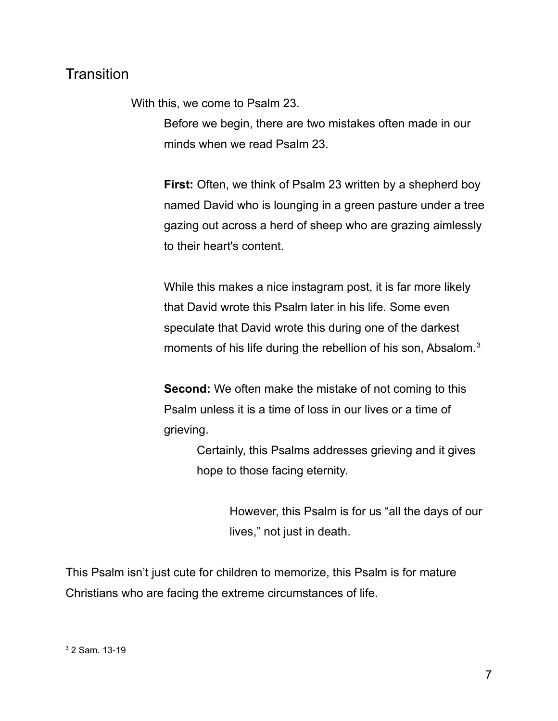## **Transition**

With this, we come to Psalm 23.

Before we begin, there are two mistakes often made in our minds when we read Psalm 23.

**First:** Often, we think of Psalm 23 written by a shepherd boy named David who is lounging in a green pasture under a tree gazing out across a herd of sheep who are grazing aimlessly to their heart's content.

While this makes a nice instagram post, it is far more likely that David wrote this Psalm later in his life. Some even speculate that David wrote this during one of the darkest moments of his life during the rebellion of his son, Absalom. $3$ 

**Second:** We often make the mistake of not coming to this Psalm unless it is a time of loss in our lives or a time of grieving.

> Certainly, this Psalms addresses grieving and it gives hope to those facing eternity.

> > However, this Psalm is for us "all the days of our lives," not just in death.

This Psalm isn't just cute for children to memorize, this Psalm is for mature Christians who are facing the extreme circumstances of life.

<sup>3</sup> 2 Sam. 13-19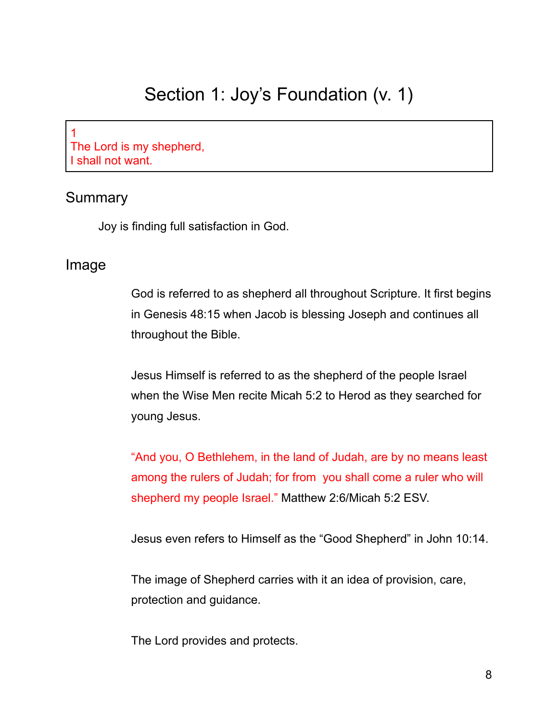## Section 1: Joy's Foundation (v. 1)

1 The Lord is my shepherd, I shall not want.

#### Summary

Joy is finding full satisfaction in God.

#### Image

God is referred to as shepherd all throughout Scripture. It first begins in Genesis 48:15 when Jacob is blessing Joseph and continues all throughout the Bible.

Jesus Himself is referred to as the shepherd of the people Israel when the Wise Men recite Micah 5:2 to Herod as they searched for young Jesus.

"And you, O Bethlehem, in the land of Judah, are by no means least among the rulers of Judah; for from you shall come a ruler who will shepherd my people Israel." Matthew 2:6/Micah 5:2 ESV.

Jesus even refers to Himself as the "Good Shepherd" in John 10:14.

The image of Shepherd carries with it an idea of provision, care, protection and guidance.

The Lord provides and protects.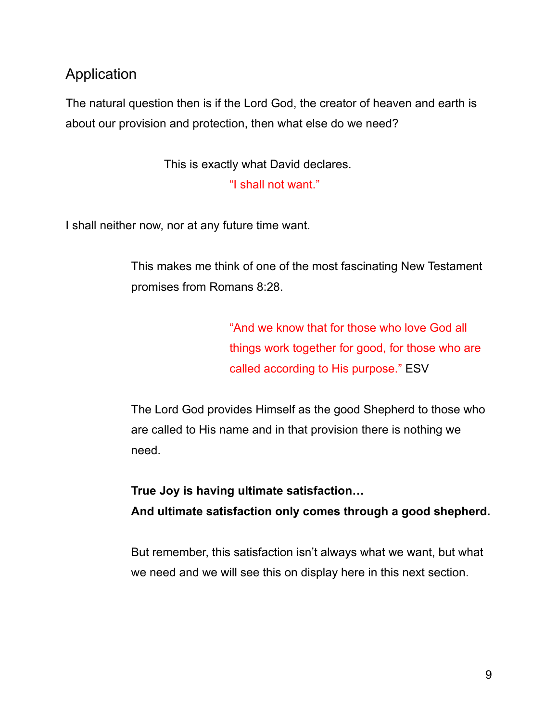## Application

The natural question then is if the Lord God, the creator of heaven and earth is about our provision and protection, then what else do we need?

This is exactly what David declares.

"I shall not want."

I shall neither now, nor at any future time want.

This makes me think of one of the most fascinating New Testament promises from Romans 8:28.

> "And we know that for those who love God all things work together for good, for those who are called according to His purpose." ESV

The Lord God provides Himself as the good Shepherd to those who are called to His name and in that provision there is nothing we need.

**True Joy is having ultimate satisfaction… And ultimate satisfaction only comes through a good shepherd.**

But remember, this satisfaction isn't always what we want, but what we need and we will see this on display here in this next section.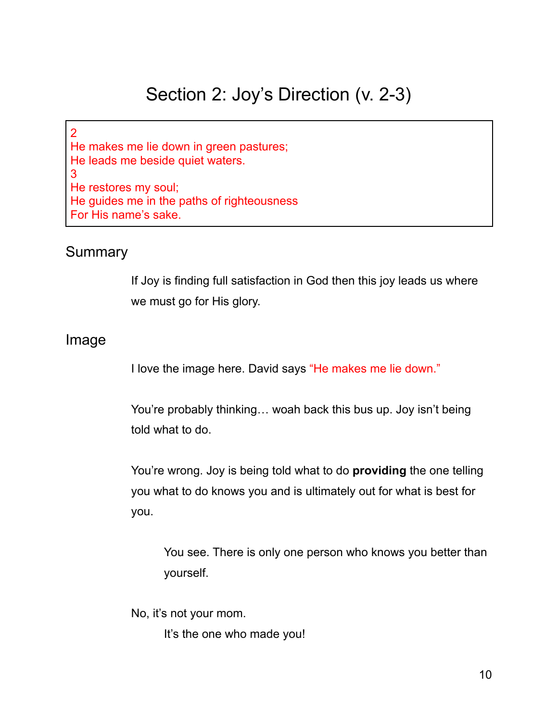## Section 2: Joy's Direction (v. 2-3)

2 He makes me lie down in green pastures; He leads me beside quiet waters. 3 He restores my soul; He guides me in the paths of righteousness For His name's sake.

#### Summary

If Joy is finding full satisfaction in God then this joy leads us where we must go for His glory.

#### Image

I love the image here. David says "He makes me lie down."

You're probably thinking… woah back this bus up. Joy isn't being told what to do.

You're wrong. Joy is being told what to do **providing** the one telling you what to do knows you and is ultimately out for what is best for you.

You see. There is only one person who knows you better than yourself.

No, it's not your mom.

It's the one who made you!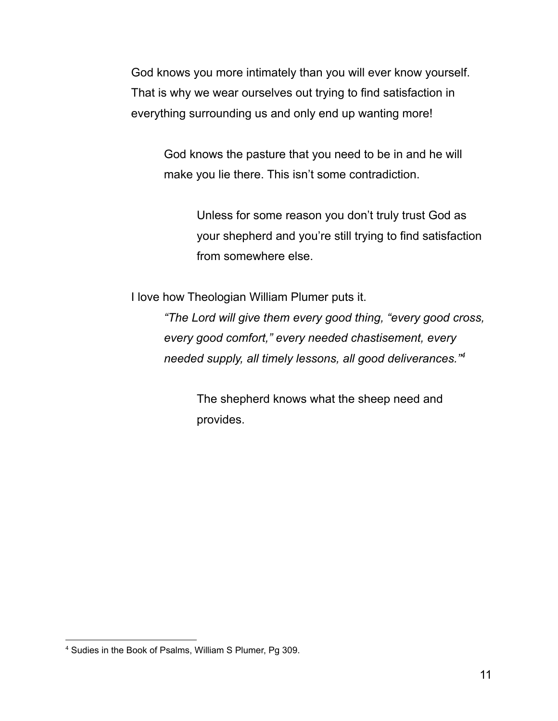God knows you more intimately than you will ever know yourself. That is why we wear ourselves out trying to find satisfaction in everything surrounding us and only end up wanting more!

God knows the pasture that you need to be in and he will make you lie there. This isn't some contradiction.

> Unless for some reason you don't truly trust God as your shepherd and you're still trying to find satisfaction from somewhere else.

I love how Theologian William Plumer puts it.

*"The Lord will give them every good thing, "every good cross, every good comfort," every needed chastisement, every needed supply, all timely lessons, all good deliverances." 4*

> The shepherd knows what the sheep need and provides.

<sup>4</sup> Sudies in the Book of Psalms, William S Plumer, Pg 309.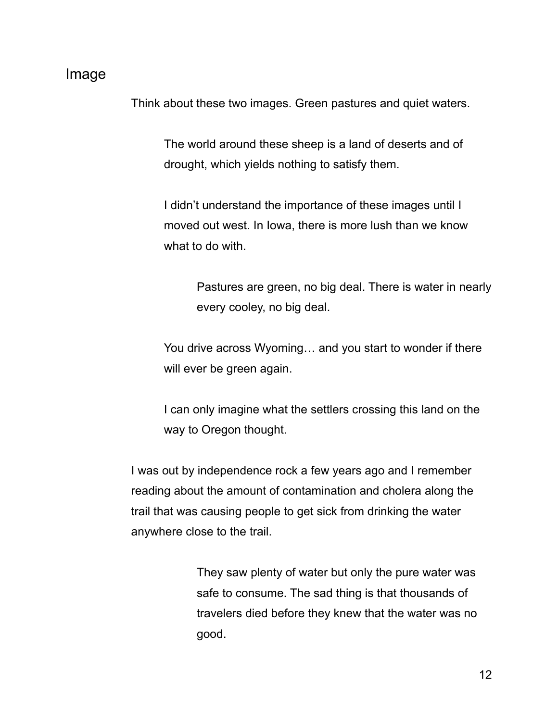#### Image

Think about these two images. Green pastures and quiet waters.

The world around these sheep is a land of deserts and of drought, which yields nothing to satisfy them.

I didn't understand the importance of these images until I moved out west. In Iowa, there is more lush than we know what to do with.

> Pastures are green, no big deal. There is water in nearly every cooley, no big deal.

You drive across Wyoming… and you start to wonder if there will ever be green again.

I can only imagine what the settlers crossing this land on the way to Oregon thought.

I was out by independence rock a few years ago and I remember reading about the amount of contamination and cholera along the trail that was causing people to get sick from drinking the water anywhere close to the trail.

> They saw plenty of water but only the pure water was safe to consume. The sad thing is that thousands of travelers died before they knew that the water was no good.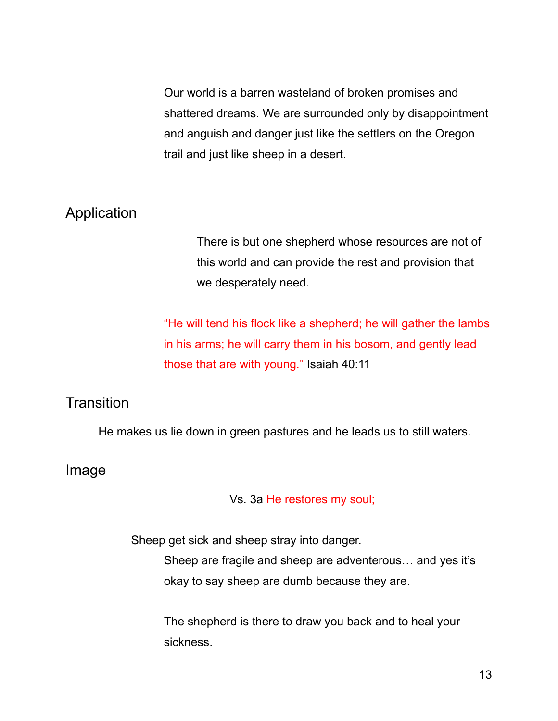Our world is a barren wasteland of broken promises and shattered dreams. We are surrounded only by disappointment and anguish and danger just like the settlers on the Oregon trail and just like sheep in a desert.

#### Application

There is but one shepherd whose resources are not of this world and can provide the rest and provision that we desperately need.

"He will tend his flock like a shepherd; he will gather the lambs in his arms; he will carry them in his bosom, and gently lead those that are with young." Isaiah 40:11

### **Transition**

He makes us lie down in green pastures and he leads us to still waters.

#### Image

Vs. 3a He restores my soul;

Sheep get sick and sheep stray into danger.

Sheep are fragile and sheep are adventerous… and yes it's okay to say sheep are dumb because they are.

The shepherd is there to draw you back and to heal your sickness.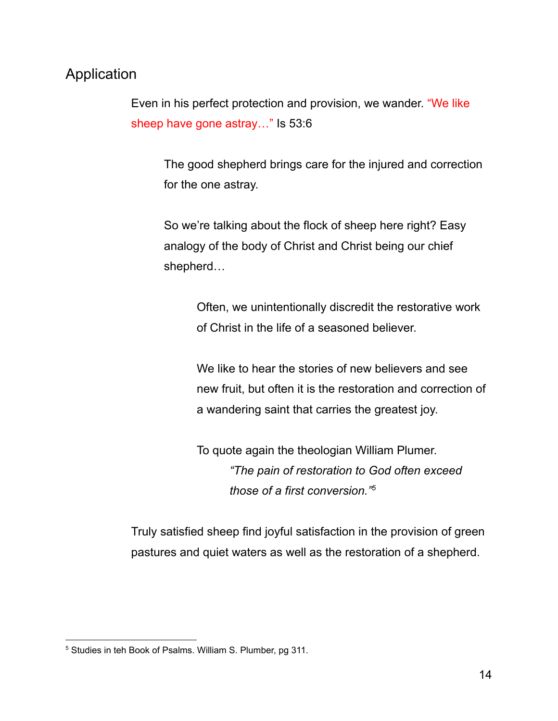### Application

Even in his perfect protection and provision, we wander. "We like sheep have gone astray…" Is 53:6

The good shepherd brings care for the injured and correction for the one astray.

So we're talking about the flock of sheep here right? Easy analogy of the body of Christ and Christ being our chief shepherd…

> Often, we unintentionally discredit the restorative work of Christ in the life of a seasoned believer.

We like to hear the stories of new believers and see new fruit, but often it is the restoration and correction of a wandering saint that carries the greatest joy.

To quote again the theologian William Plumer. *"The pain of restoration to God often exceed those of a first conversion." 5*

Truly satisfied sheep find joyful satisfaction in the provision of green pastures and quiet waters as well as the restoration of a shepherd.

<sup>5</sup> Studies in teh Book of Psalms. William S. Plumber, pg 311.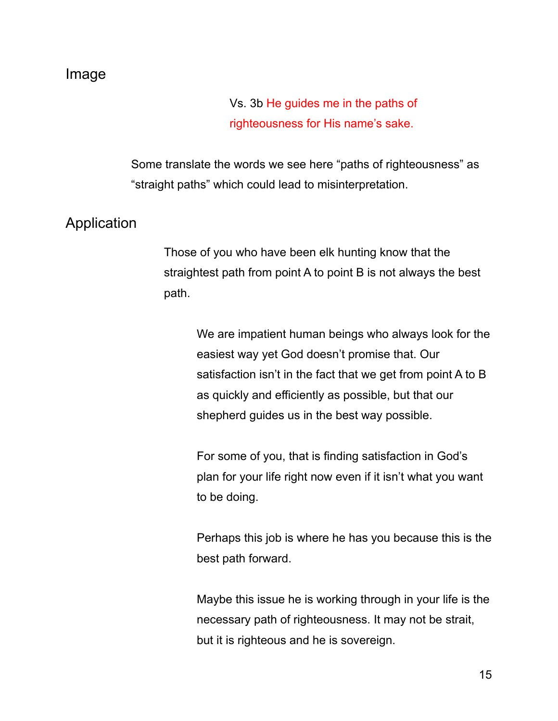#### Image

Vs. 3b He guides me in the paths of righteousness for His name's sake.

Some translate the words we see here "paths of righteousness" as "straight paths" which could lead to misinterpretation.

### Application

Those of you who have been elk hunting know that the straightest path from point A to point B is not always the best path.

> We are impatient human beings who always look for the easiest way yet God doesn't promise that. Our satisfaction isn't in the fact that we get from point A to B as quickly and efficiently as possible, but that our shepherd guides us in the best way possible.

For some of you, that is finding satisfaction in God's plan for your life right now even if it isn't what you want to be doing.

Perhaps this job is where he has you because this is the best path forward.

Maybe this issue he is working through in your life is the necessary path of righteousness. It may not be strait, but it is righteous and he is sovereign.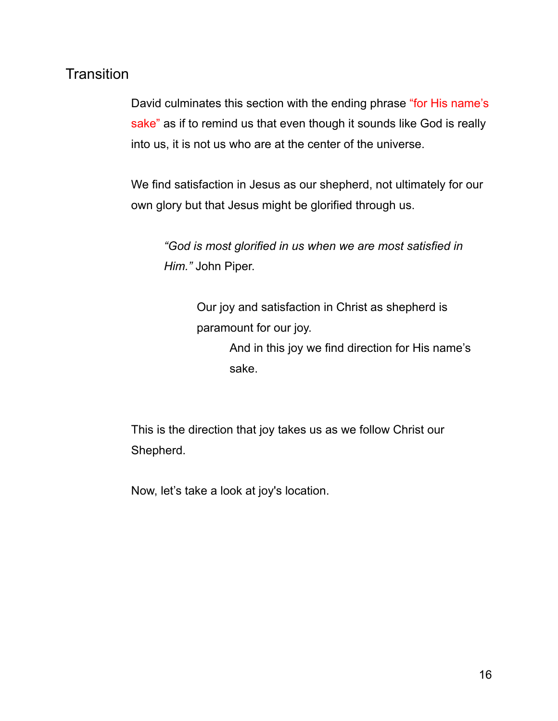## **Transition**

David culminates this section with the ending phrase "for His name's sake" as if to remind us that even though it sounds like God is really into us, it is not us who are at the center of the universe.

We find satisfaction in Jesus as our shepherd, not ultimately for our own glory but that Jesus might be glorified through us.

*"God is most glorified in us when we are most satisfied in Him."* John Piper.

> Our joy and satisfaction in Christ as shepherd is paramount for our joy.

And in this joy we find direction for His name's sake.

This is the direction that joy takes us as we follow Christ our Shepherd.

Now, let's take a look at joy's location.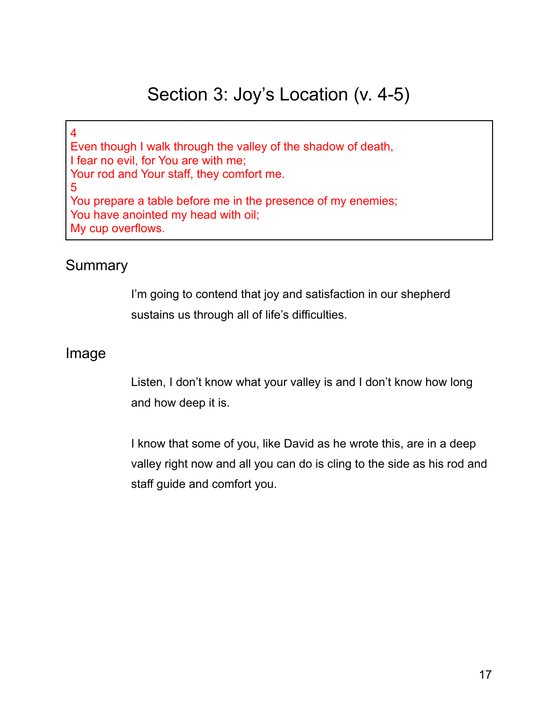## Section 3: Joy's Location (v. 4-5)

4 Even though I walk through the valley of the shadow of death, I fear no evil, for You are with me; Your rod and Your staff, they comfort me. 5 You prepare a table before me in the presence of my enemies; You have anointed my head with oil; My cup overflows.

### Summary

I'm going to contend that joy and satisfaction in our shepherd sustains us through all of life's difficulties.

#### Image

Listen, I don't know what your valley is and I don't know how long and how deep it is.

I know that some of you, like David as he wrote this, are in a deep valley right now and all you can do is cling to the side as his rod and staff guide and comfort you.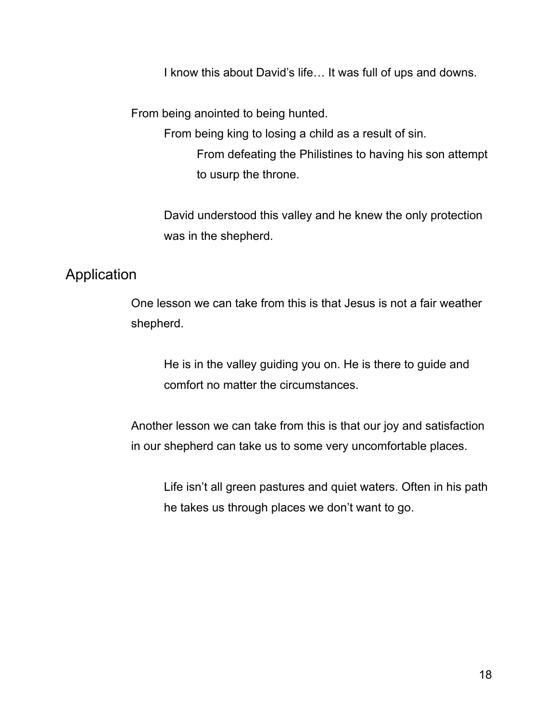I know this about David's life… It was full of ups and downs.

From being anointed to being hunted.

From being king to losing a child as a result of sin.

From defeating the Philistines to having his son attempt to usurp the throne.

David understood this valley and he knew the only protection was in the shepherd.

### Application

One lesson we can take from this is that Jesus is not a fair weather shepherd.

He is in the valley guiding you on. He is there to guide and comfort no matter the circumstances.

Another lesson we can take from this is that our joy and satisfaction in our shepherd can take us to some very uncomfortable places.

Life isn't all green pastures and quiet waters. Often in his path he takes us through places we don't want to go.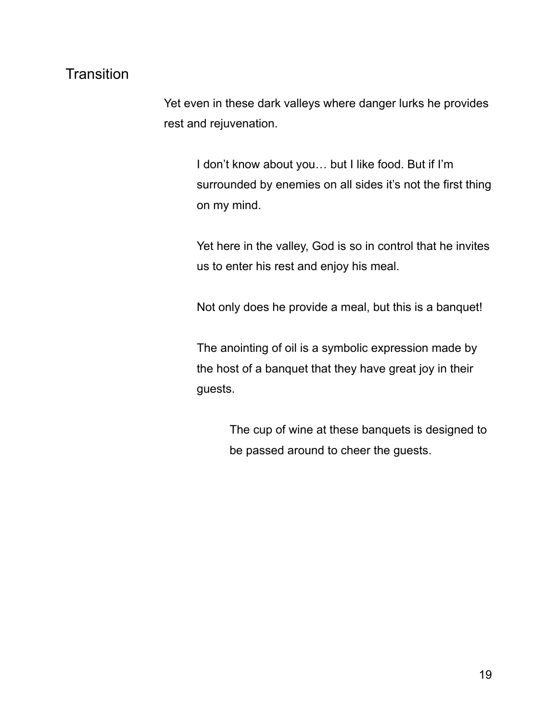## **Transition**

Yet even in these dark valleys where danger lurks he provides rest and rejuvenation.

> I don't know about you… but I like food. But if I'm surrounded by enemies on all sides it's not the first thing on my mind.

> Yet here in the valley, God is so in control that he invites us to enter his rest and enjoy his meal.

Not only does he provide a meal, but this is a banquet!

The anointing of oil is a symbolic expression made by the host of a banquet that they have great joy in their guests.

> The cup of wine at these banquets is designed to be passed around to cheer the guests.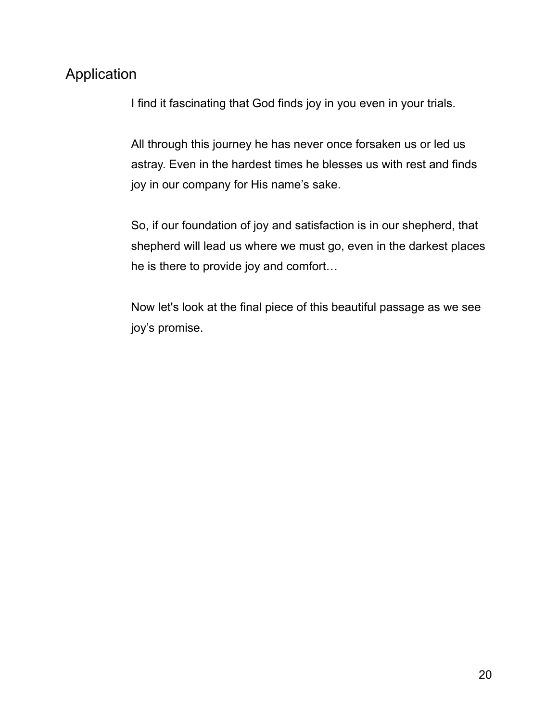## Application

I find it fascinating that God finds joy in you even in your trials.

All through this journey he has never once forsaken us or led us astray. Even in the hardest times he blesses us with rest and finds joy in our company for His name's sake.

So, if our foundation of joy and satisfaction is in our shepherd, that shepherd will lead us where we must go, even in the darkest places he is there to provide joy and comfort…

Now let's look at the final piece of this beautiful passage as we see joy's promise.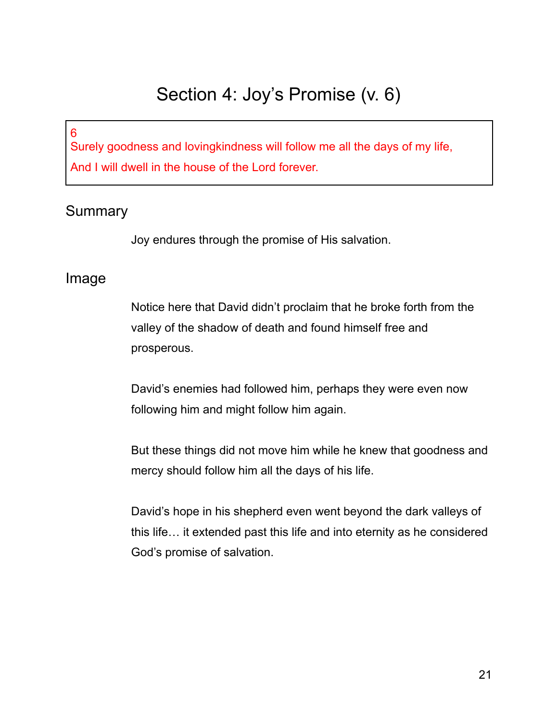## Section 4: Joy's Promise (v. 6)

6

Surely goodness and lovingkindness will follow me all the days of my life, And I will dwell in the house of the Lord forever.

## Summary

Joy endures through the promise of His salvation.

### Image

Notice here that David didn't proclaim that he broke forth from the valley of the shadow of death and found himself free and prosperous.

David's enemies had followed him, perhaps they were even now following him and might follow him again.

But these things did not move him while he knew that goodness and mercy should follow him all the days of his life.

David's hope in his shepherd even went beyond the dark valleys of this life… it extended past this life and into eternity as he considered God's promise of salvation.